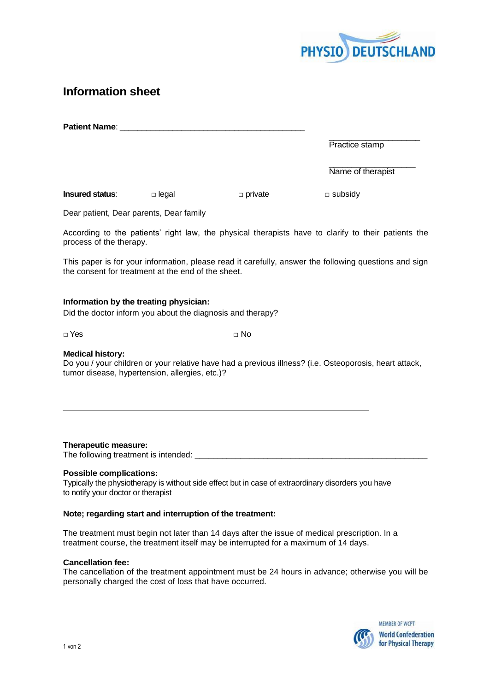

# **Information sheet**

| <b>Patient Name:</b>   |                                         |                |                   |
|------------------------|-----------------------------------------|----------------|-------------------|
|                        |                                         |                | Practice stamp    |
|                        |                                         |                | Name of therapist |
| <b>Insured status:</b> | $\Box$ legal                            | $\Box$ private | $\Box$ subsidy    |
|                        | Dear patient, Dear parents, Dear family |                |                   |

According to the patients' right law, the physical therapists have to clarify to their patients the process of the therapy.

This paper is for your information, please read it carefully, answer the following questions and sign the consent for treatment at the end of the sheet.

### **Information by the treating physician:**

Did the doctor inform you about the diagnosis and therapy?

**□** Yes **□** No

### **Medical history:**

Do you / your children or your relative have had a previous illness? (i.e. Osteoporosis, heart attack, tumor disease, hypertension, allergies, etc.)?

**Therapeutic measure:**

The following treatment is intended:

## **Possible complications:**

Typically the physiotherapy is without side effect but in case of extraordinary disorders you have to notify your doctor or therapist

### **Note; regarding start and interruption of the treatment:**

The treatment must begin not later than 14 days after the issue of medical prescription. In a treatment course, the treatment itself may be interrupted for a maximum of 14 days.

## **Cancellation fee:**

The cancellation of the treatment appointment must be 24 hours in advance; otherwise you will be personally charged the cost of loss that have occurred.